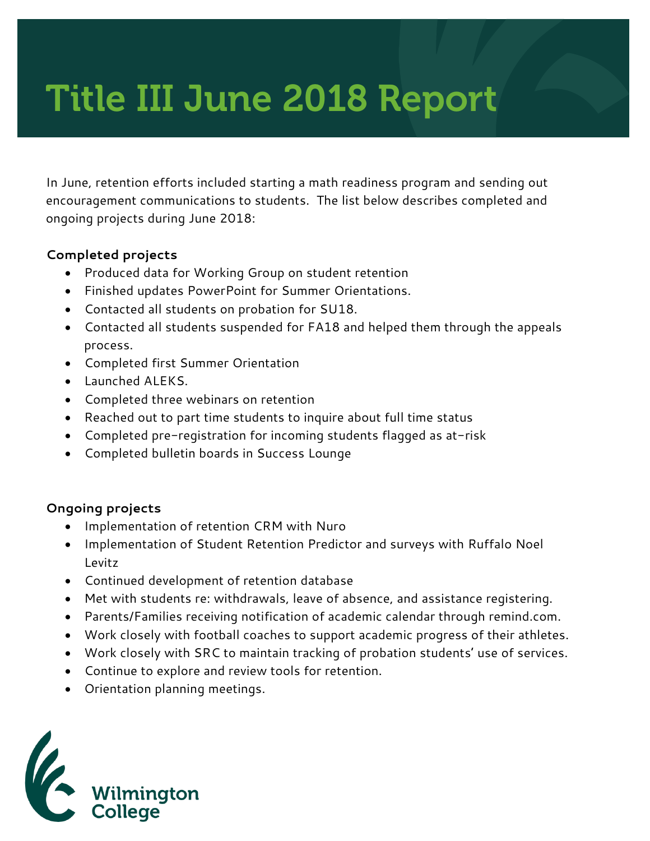# Title III June 2018 Report

In June, retention efforts included starting a math readiness program and sending out encouragement communications to students. The list below describes completed and ongoing projects during June 2018:

#### **Completed projects**

- Produced data for Working Group on student retention
- Finished updates PowerPoint for Summer Orientations.
- Contacted all students on probation for SU18.
- Contacted all students suspended for FA18 and helped them through the appeals process.
- Completed first Summer Orientation
- Launched ALEKS.
- Completed three webinars on retention
- Reached out to part time students to inquire about full time status
- Completed pre-registration for incoming students flagged as at-risk
- Completed bulletin boards in Success Lounge

#### **Ongoing projects**

- Implementation of retention CRM with Nuro
- Implementation of Student Retention Predictor and surveys with Ruffalo Noel Levitz
- Continued development of retention database
- Met with students re: withdrawals, leave of absence, and assistance registering.
- Parents/Families receiving notification of academic calendar through remind.com.
- Work closely with football coaches to support academic progress of their athletes.
- Work closely with SRC to maintain tracking of probation students' use of services.
- Continue to explore and review tools for retention.
- Orientation planning meetings.